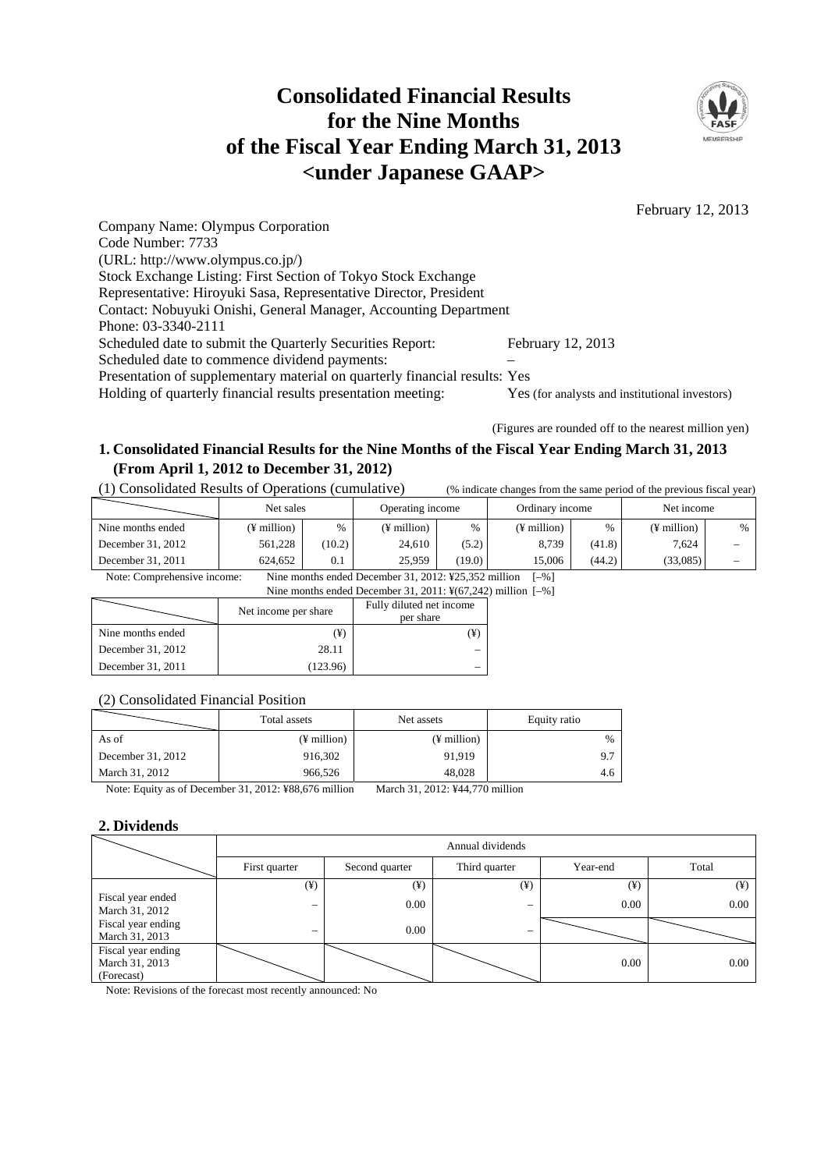# **Consolidated Financial Results for the Nine Months of the Fiscal Year Ending March 31, 2013 <under Japanese GAAP>**



February 12, 2013

Company Name: Olympus Corporation Code Number: 7733 (URL: http://www.olympus.co.jp/) Stock Exchange Listing: First Section of Tokyo Stock Exchange Representative: Hiroyuki Sasa, Representative Director, President Contact: Nobuyuki Onishi, General Manager, Accounting Department Phone: 03-3340-2111 Scheduled date to submit the Quarterly Securities Report: February 12, 2013 Scheduled date to commence dividend payments: Presentation of supplementary material on quarterly financial results: Yes Holding of quarterly financial results presentation meeting: Yes (for analysts and institutional investors)

(Figures are rounded off to the nearest million yen)

# **1. Consolidated Financial Results for the Nine Months of the Fiscal Year Ending March 31, 2013 (From April 1, 2012 to December 31, 2012)**

(1) Consolidated Results of Operations (cumulative) (% indicate changes from the same period of the previous fiscal year)

|                   |             | Net sales |             | Ordinary income<br>Operating income |               |        | Net income    |                                 |
|-------------------|-------------|-----------|-------------|-------------------------------------|---------------|--------|---------------|---------------------------------|
| Nine months ended | (¥ million) | %         | (¥ million) | $\%$                                | $(F$ million) | $\%$   | $(F$ million) | %                               |
| December 31, 2012 | 561.228     | (10.2)    | 24,610      | (5.2)                               | 8.739         | (41.8) | 7.624         | $\hspace{0.1mm}-\hspace{0.1mm}$ |
| December 31, 2011 | 624.652     | 0.1       | 25,959      | (19.0)                              | 15.006        | (44.2) | (33,085)      | $\hspace{0.1mm}-\hspace{0.1mm}$ |

Note: Comprehensive income: Nine months ended December 31, 2012: ¥25,352 million [–%]

Nine months ended December 31, 2011: ¥(67,242) million [-%]

|                   | Net income per share | Fully diluted net income<br>per share |  |
|-------------------|----------------------|---------------------------------------|--|
| Nine months ended | (¥)                  |                                       |  |
| December 31, 2012 | 28.11                |                                       |  |
| December 31, 2011 | (123.96)             |                                       |  |

### (2) Consolidated Financial Position

|                     | Total assets             | Net assets                                                                                                                                                                                                                                                                                                  | Equity ratio  |
|---------------------|--------------------------|-------------------------------------------------------------------------------------------------------------------------------------------------------------------------------------------------------------------------------------------------------------------------------------------------------------|---------------|
| As of               | $(\frac{1}{2})$ million  | $(\frac{1}{2})$ million                                                                                                                                                                                                                                                                                     | $\frac{0}{0}$ |
| December $31, 2012$ | 916,302                  | 91.919                                                                                                                                                                                                                                                                                                      | 9.7           |
| March 31, 2012      | 966.526                  | 48.028                                                                                                                                                                                                                                                                                                      | 4.6           |
| $\sim$ $\sim$       | 24.2212.72222.72222.7332 | $\mathbf{v}$ , $\mathbf{v}$ , $\mathbf{v}$ , $\mathbf{v}$ , $\mathbf{v}$ , $\mathbf{v}$ , $\mathbf{v}$ , $\mathbf{v}$ , $\mathbf{v}$ , $\mathbf{v}$ , $\mathbf{v}$ , $\mathbf{v}$ , $\mathbf{v}$ , $\mathbf{v}$ , $\mathbf{v}$ , $\mathbf{v}$ , $\mathbf{v}$ , $\mathbf{v}$ , $\mathbf{v}$ , $\mathbf{v}$ , |               |

Note: Equity as of December 31, 2012: ¥88,676 million March 31, 2012: ¥44,770 million

# **2. Dividends**

|                                                    |                          | Annual dividends |          |          |          |  |  |  |
|----------------------------------------------------|--------------------------|------------------|----------|----------|----------|--|--|--|
|                                                    | First quarter            | Second quarter   |          | Year-end | Total    |  |  |  |
|                                                    | $(\yen)$                 | $(\yen)$         | $(\yen)$ | $(\yen)$ | $(\yen)$ |  |  |  |
| Fiscal year ended<br>March 31, 2012                |                          | 0.00             | –        | 0.00     | 0.00     |  |  |  |
| Fiscal year ending<br>March 31, 2013               | $\overline{\phantom{m}}$ | 0.00             | —        |          |          |  |  |  |
| Fiscal year ending<br>March 31, 2013<br>(Forecast) |                          |                  |          | 0.00     | $0.00\,$ |  |  |  |

Note: Revisions of the forecast most recently announced: No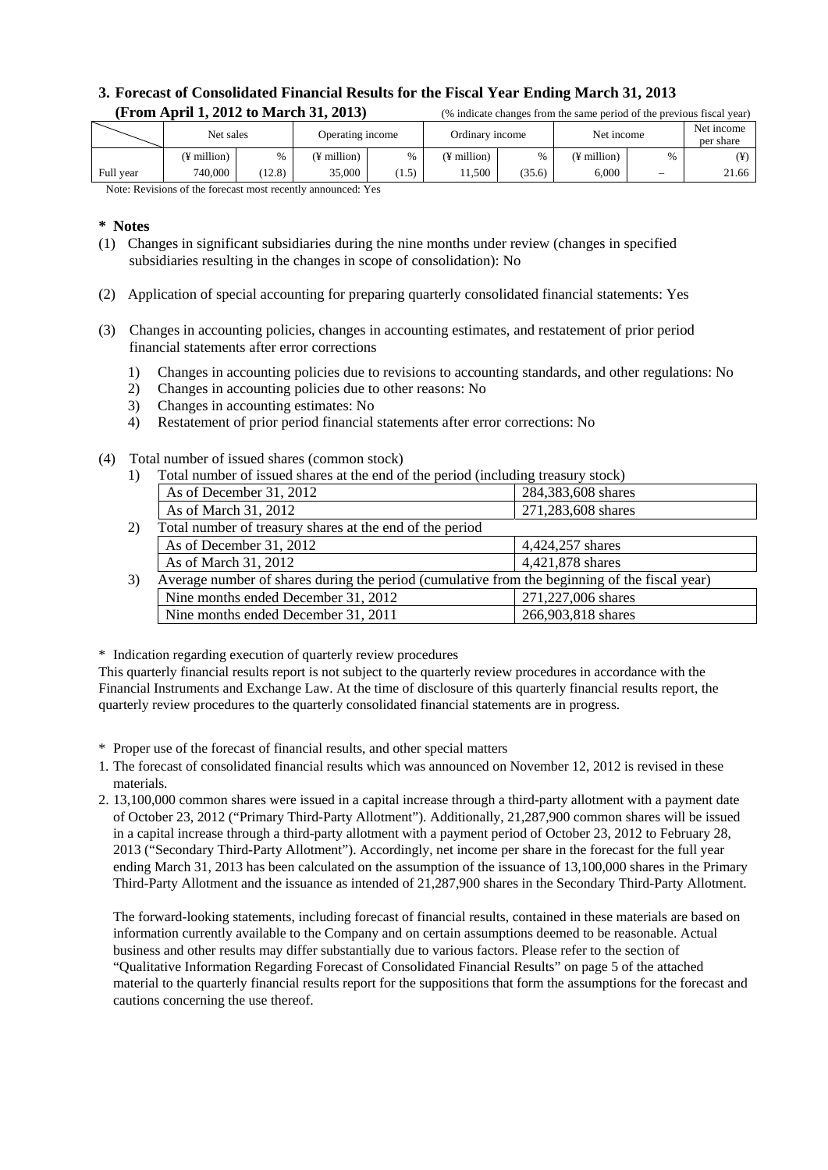# **3. Forecast of Consolidated Financial Results for the Fiscal Year Ending March 31, 2013 (From April 1, 2012 to March 31, 2013)** <sup>(%</sup> indicate changes from the same period of the previous fiscal year)

|           | Net sales   |        | Operating income |       | Ordinary income |        | Net income  |                                 | Net income<br>per share |
|-----------|-------------|--------|------------------|-------|-----------------|--------|-------------|---------------------------------|-------------------------|
|           | (¥ million) | $\%$   | (¥ million)      | $\%$  | (¥ million)     | $\%$   | (¥ million) | $\%$                            | (¥)                     |
| Full year | 740,000     | (12.8) | 35,000           | (1.5) | .1.500          | (35.6) | 6,000       | $\hspace{0.1mm}-\hspace{0.1mm}$ | 21.66                   |

Note: Revisions of the forecast most recently announced: Yes

#### **\* Notes**

- (1) Changes in significant subsidiaries during the nine months under review (changes in specified subsidiaries resulting in the changes in scope of consolidation): No
- (2) Application of special accounting for preparing quarterly consolidated financial statements: Yes
- (3) Changes in accounting policies, changes in accounting estimates, and restatement of prior period financial statements after error corrections
	- 1) Changes in accounting policies due to revisions to accounting standards, and other regulations: No
	- 2) Changes in accounting policies due to other reasons: No
	- 3) Changes in accounting estimates: No
	- 4) Restatement of prior period financial statements after error corrections: No
- (4) Total number of issued shares (common stock)
	- 1) Total number of issued shares at the end of the period (including treasury stock)

|    | As of December 31, 2012                                                                       | 284,383,608 shares |
|----|-----------------------------------------------------------------------------------------------|--------------------|
|    | As of March 31, 2012                                                                          | 271,283,608 shares |
| 2) | Total number of treasury shares at the end of the period                                      |                    |
|    | As of December 31, 2012                                                                       | 4,424,257 shares   |
|    | As of March 31, 2012                                                                          | 4,421,878 shares   |
| 3) | Average number of shares during the period (cumulative from the beginning of the fiscal year) |                    |
|    | Nine months ended December 31, 2012                                                           | 271,227,006 shares |
|    | Nine months ended December 31, 2011                                                           | 266,903,818 shares |
|    |                                                                                               |                    |

\* Indication regarding execution of quarterly review procedures

This quarterly financial results report is not subject to the quarterly review procedures in accordance with the Financial Instruments and Exchange Law. At the time of disclosure of this quarterly financial results report, the quarterly review procedures to the quarterly consolidated financial statements are in progress.

\* Proper use of the forecast of financial results, and other special matters

- 1. The forecast of consolidated financial results which was announced on November 12, 2012 is revised in these materials.
- 2. 13,100,000 common shares were issued in a capital increase through a third-party allotment with a payment date of October 23, 2012 ("Primary Third-Party Allotment"). Additionally, 21,287,900 common shares will be issued in a capital increase through a third-party allotment with a payment period of October 23, 2012 to February 28, 2013 ("Secondary Third-Party Allotment"). Accordingly, net income per share in the forecast for the full year ending March 31, 2013 has been calculated on the assumption of the issuance of 13,100,000 shares in the Primary Third-Party Allotment and the issuance as intended of 21,287,900 shares in the Secondary Third-Party Allotment.

 The forward-looking statements, including forecast of financial results, contained in these materials are based on information currently available to the Company and on certain assumptions deemed to be reasonable. Actual business and other results may differ substantially due to various factors. Please refer to the section of "Qualitative Information Regarding Forecast of Consolidated Financial Results" on page 5 of the attached material to the quarterly financial results report for the suppositions that form the assumptions for the forecast and cautions concerning the use thereof.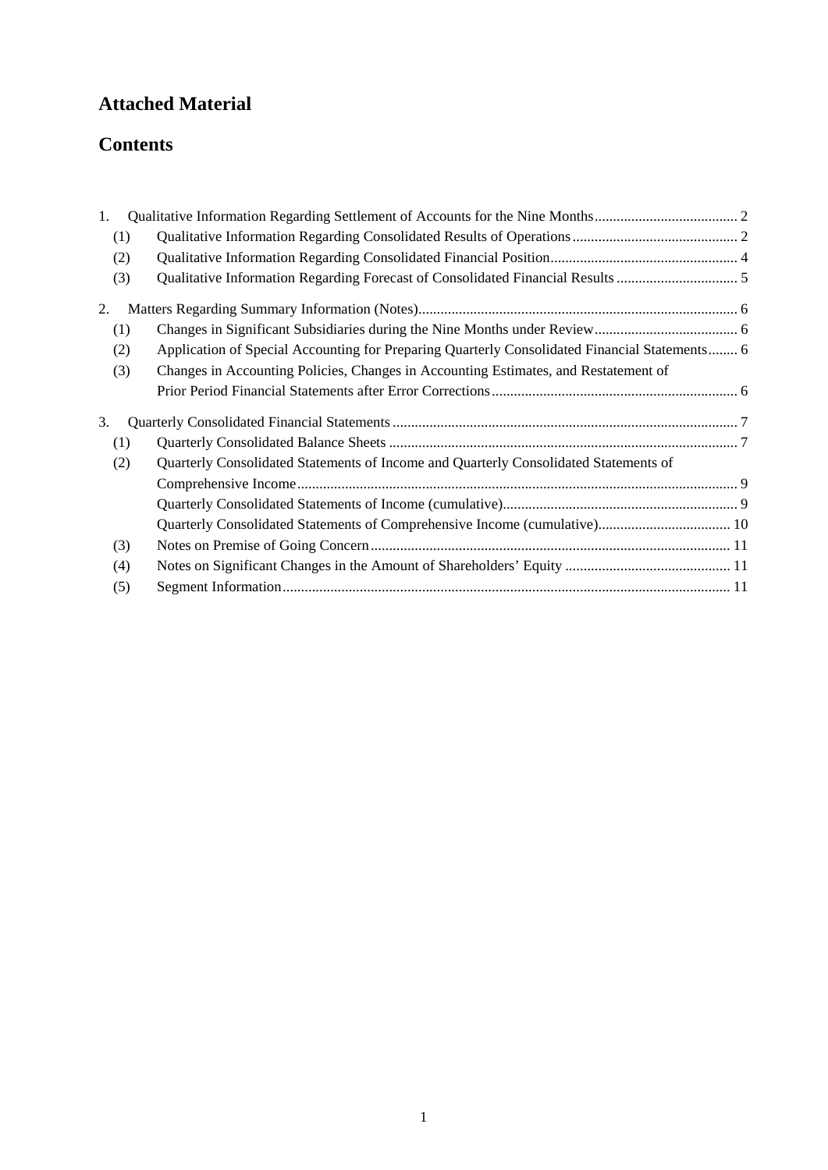# **Attached Material**

# **Contents**

| 1. |     |                                                                                               |  |
|----|-----|-----------------------------------------------------------------------------------------------|--|
|    | (1) |                                                                                               |  |
|    | (2) |                                                                                               |  |
|    | (3) |                                                                                               |  |
| 2. |     |                                                                                               |  |
|    | (1) |                                                                                               |  |
|    | (2) | Application of Special Accounting for Preparing Quarterly Consolidated Financial Statements 6 |  |
|    | (3) | Changes in Accounting Policies, Changes in Accounting Estimates, and Restatement of           |  |
|    |     |                                                                                               |  |
| 3. |     |                                                                                               |  |
|    | (1) |                                                                                               |  |
|    | (2) | Quarterly Consolidated Statements of Income and Quarterly Consolidated Statements of          |  |
|    |     |                                                                                               |  |
|    |     |                                                                                               |  |
|    |     |                                                                                               |  |
|    | (3) |                                                                                               |  |
|    | (4) |                                                                                               |  |
|    | (5) |                                                                                               |  |
|    |     |                                                                                               |  |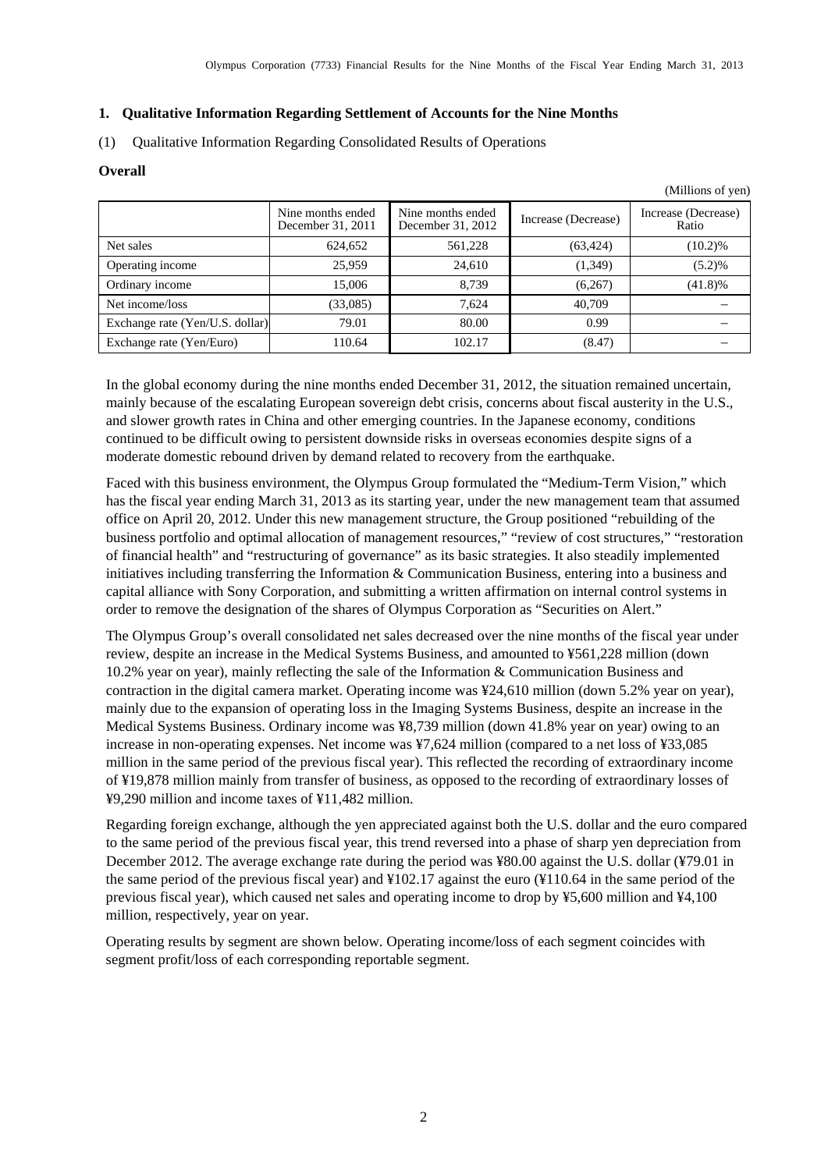(Millions of yen)

## <span id="page-3-0"></span>**1. Qualitative Information Regarding Settlement of Accounts for the Nine Months**

<span id="page-3-1"></span>(1) Qualitative Information Regarding Consolidated Results of Operations

#### **Overall**

|                                 | Nine months ended<br>December 31, 2011 | Nine months ended<br>December 31, 2012 | Increase (Decrease) | Increase (Decrease)<br>Ratio |
|---------------------------------|----------------------------------------|----------------------------------------|---------------------|------------------------------|
| Net sales                       | 624,652                                | 561,228                                | (63, 424)           | $(10.2)\%$                   |
| Operating income                | 25,959                                 | 24.610                                 | (1,349)             | (5.2)%                       |
| Ordinary income                 | 15,006                                 | 8,739                                  | (6,267)             | $(41.8)\%$                   |
| Net income/loss                 | (33,085)                               | 7,624                                  | 40.709              |                              |
| Exchange rate (Yen/U.S. dollar) | 79.01                                  | 80.00                                  | 0.99                |                              |
| Exchange rate (Yen/Euro)        | 110.64                                 | 102.17                                 | (8.47)              |                              |

In the global economy during the nine months ended December 31, 2012, the situation remained uncertain, mainly because of the escalating European sovereign debt crisis, concerns about fiscal austerity in the U.S., and slower growth rates in China and other emerging countries. In the Japanese economy, conditions continued to be difficult owing to persistent downside risks in overseas economies despite signs of a moderate domestic rebound driven by demand related to recovery from the earthquake.

Faced with this business environment, the Olympus Group formulated the "Medium-Term Vision," which has the fiscal year ending March 31, 2013 as its starting year, under the new management team that assumed office on April 20, 2012. Under this new management structure, the Group positioned "rebuilding of the business portfolio and optimal allocation of management resources," "review of cost structures," "restoration of financial health" and "restructuring of governance" as its basic strategies. It also steadily implemented initiatives including transferring the Information & Communication Business, entering into a business and capital alliance with Sony Corporation, and submitting a written affirmation on internal control systems in order to remove the designation of the shares of Olympus Corporation as "Securities on Alert."

The Olympus Group's overall consolidated net sales decreased over the nine months of the fiscal year under review, despite an increase in the Medical Systems Business, and amounted to ¥561,228 million (down 10.2% year on year), mainly reflecting the sale of the Information & Communication Business and contraction in the digital camera market. Operating income was ¥24,610 million (down 5.2% year on year), mainly due to the expansion of operating loss in the Imaging Systems Business, despite an increase in the Medical Systems Business. Ordinary income was ¥8,739 million (down 41.8% year on year) owing to an increase in non-operating expenses. Net income was ¥7,624 million (compared to a net loss of ¥33,085 million in the same period of the previous fiscal year). This reflected the recording of extraordinary income of ¥19,878 million mainly from transfer of business, as opposed to the recording of extraordinary losses of ¥9,290 million and income taxes of ¥11,482 million.

Regarding foreign exchange, although the yen appreciated against both the U.S. dollar and the euro compared to the same period of the previous fiscal year, this trend reversed into a phase of sharp yen depreciation from December 2012. The average exchange rate during the period was ¥80.00 against the U.S. dollar (¥79.01 in the same period of the previous fiscal year) and ¥102.17 against the euro (¥110.64 in the same period of the previous fiscal year), which caused net sales and operating income to drop by ¥5,600 million and ¥4,100 million, respectively, year on year.

Operating results by segment are shown below. Operating income/loss of each segment coincides with segment profit/loss of each corresponding reportable segment.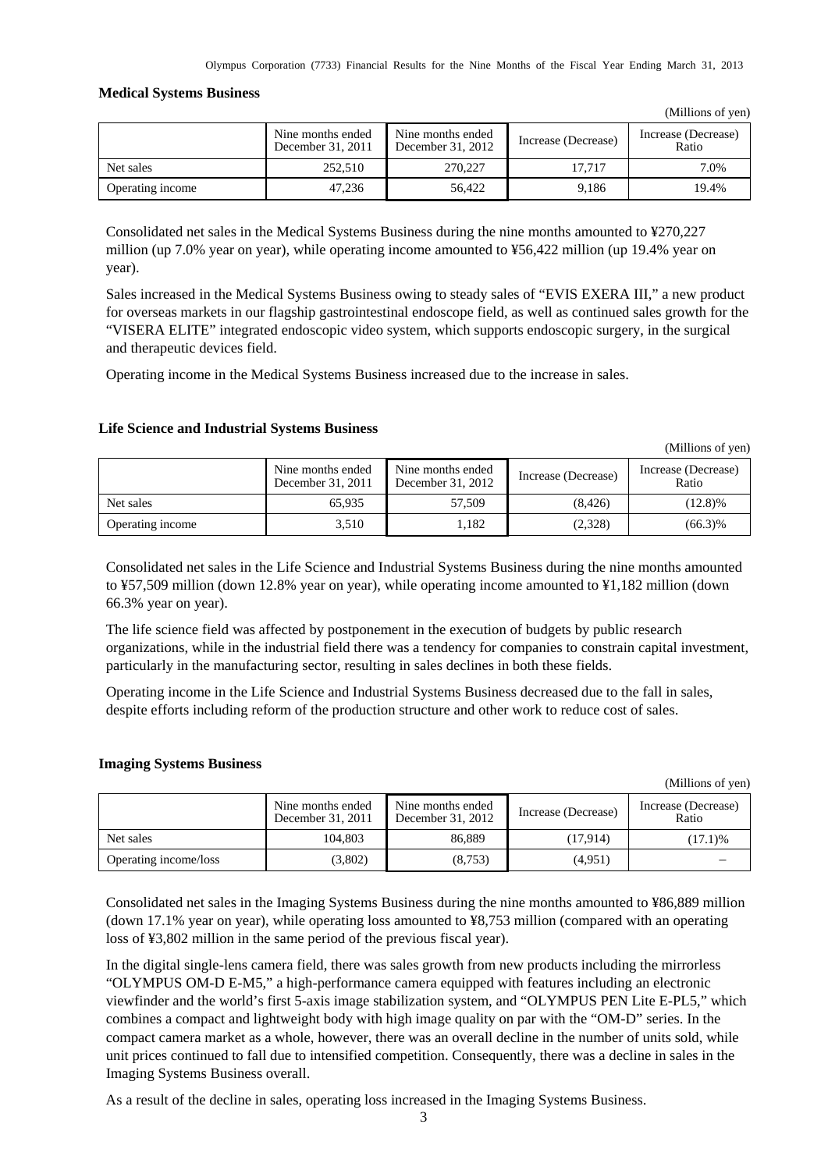(Millions of yen)

(Millions of yen)

#### **Medical Systems Business**

|                  |                                        |                                        |                     | (                            |
|------------------|----------------------------------------|----------------------------------------|---------------------|------------------------------|
|                  | Nine months ended<br>December 31, 2011 | Nine months ended<br>December 31, 2012 | Increase (Decrease) | Increase (Decrease)<br>Ratio |
| Net sales        | 252,510                                | 270,227                                | 17.717              | 7.0%                         |
| Operating income | 47.236                                 | 56.422                                 | 9.186               | 19.4%                        |

Consolidated net sales in the Medical Systems Business during the nine months amounted to ¥270,227 million (up 7.0% year on year), while operating income amounted to ¥56,422 million (up 19.4% year on year).

Sales increased in the Medical Systems Business owing to steady sales of "EVIS EXERA III," a new product for overseas markets in our flagship gastrointestinal endoscope field, as well as continued sales growth for the "VISERA ELITE" integrated endoscopic video system, which supports endoscopic surgery, in the surgical and therapeutic devices field.

Operating income in the Medical Systems Business increased due to the increase in sales.

#### **Life Science and Industrial Systems Business**

|                  | Nine months ended<br>December 31, 2011 | Nine months ended<br>December 31, 2012 | Increase (Decrease) | Increase (Decrease)<br>Ratio |
|------------------|----------------------------------------|----------------------------------------|---------------------|------------------------------|
| Net sales        | 65.935                                 | 57.509                                 | (8.426)             | (12.8)%                      |
| Operating income | 3.510                                  | 1.182                                  | (2,328)             | $(66.3)\%$                   |

Consolidated net sales in the Life Science and Industrial Systems Business during the nine months amounted to ¥57,509 million (down 12.8% year on year), while operating income amounted to ¥1,182 million (down 66.3% year on year).

The life science field was affected by postponement in the execution of budgets by public research organizations, while in the industrial field there was a tendency for companies to constrain capital investment, particularly in the manufacturing sector, resulting in sales declines in both these fields.

Operating income in the Life Science and Industrial Systems Business decreased due to the fall in sales, despite efforts including reform of the production structure and other work to reduce cost of sales.

#### **Imaging Systems Business**

|                       |                                        |                                        |                     | (Millions of yen)            |
|-----------------------|----------------------------------------|----------------------------------------|---------------------|------------------------------|
|                       | Nine months ended<br>December 31, 2011 | Nine months ended<br>December 31, 2012 | Increase (Decrease) | Increase (Decrease)<br>Ratio |
| Net sales             | 104,803                                | 86.889                                 | (17.914)            | (17.1)%                      |
| Operating income/loss | (3,802)                                | (8,753)                                | (4,951)             |                              |

Consolidated net sales in the Imaging Systems Business during the nine months amounted to ¥86,889 million (down 17.1% year on year), while operating loss amounted to ¥8,753 million (compared with an operating loss of ¥3,802 million in the same period of the previous fiscal year).

In the digital single-lens camera field, there was sales growth from new products including the mirrorless "OLYMPUS OM-D E-M5," a high-performance camera equipped with features including an electronic viewfinder and the world's first 5-axis image stabilization system, and "OLYMPUS PEN Lite E-PL5," which combines a compact and lightweight body with high image quality on par with the "OM-D" series. In the compact camera market as a whole, however, there was an overall decline in the number of units sold, while unit prices continued to fall due to intensified competition. Consequently, there was a decline in sales in the Imaging Systems Business overall.

As a result of the decline in sales, operating loss increased in the Imaging Systems Business.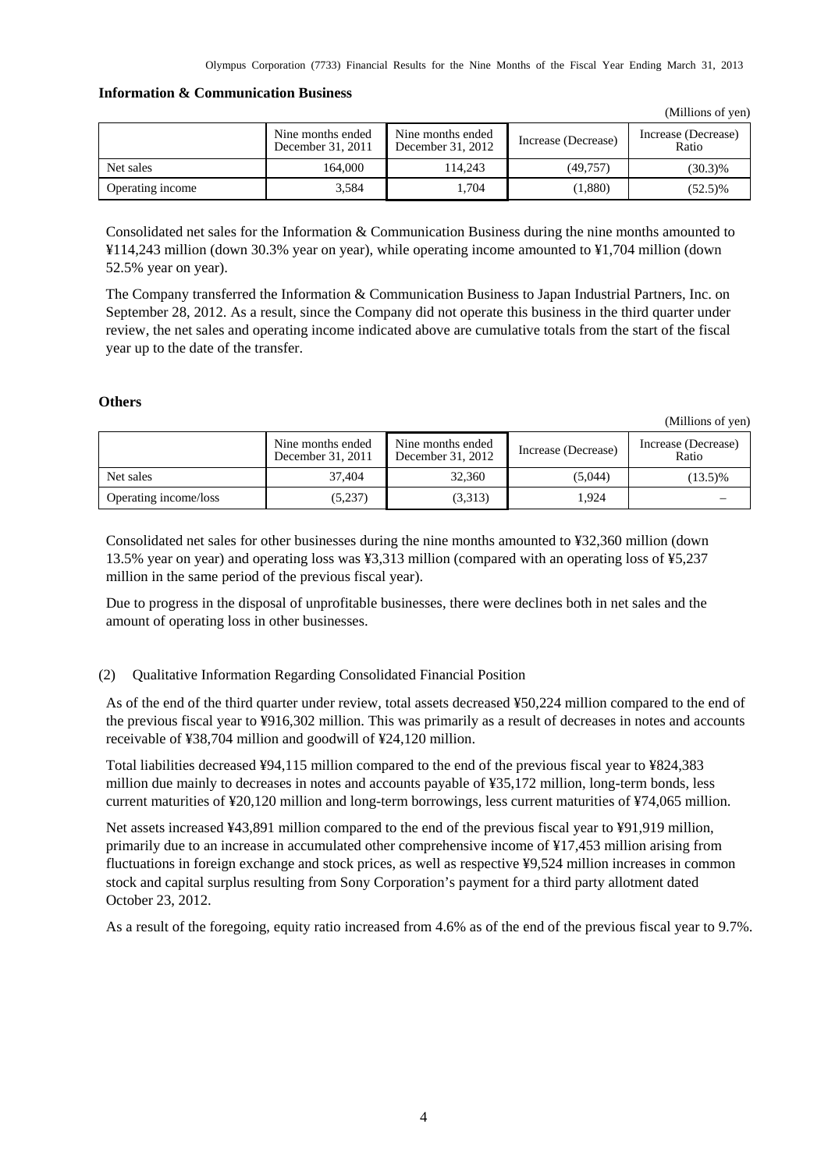### **Information & Communication Business**

|                  | Nine months ended<br>December 31, 2011 | Nine months ended<br>December 31, 2012 | Increase (Decrease) | Increase (Decrease)<br>Ratio |
|------------------|----------------------------------------|----------------------------------------|---------------------|------------------------------|
| Net sales        | 164.000                                | 114.243                                | (49.757)            | $(30.3)\%$                   |
| Operating income | 3.584                                  | l.704                                  | 1,880)              | $(52.5)\%$                   |

Consolidated net sales for the Information & Communication Business during the nine months amounted to ¥114,243 million (down 30.3% year on year), while operating income amounted to ¥1,704 million (down 52.5% year on year).

The Company transferred the Information & Communication Business to Japan Industrial Partners, Inc. on September 28, 2012. As a result, since the Company did not operate this business in the third quarter under review, the net sales and operating income indicated above are cumulative totals from the start of the fiscal year up to the date of the transfer.

# **Others**

(Millions of yen)

(Millions of yen)

|                       | Nine months ended<br>December 31, 2011 | Nine months ended<br>December 31, 2012 | Increase (Decrease) | Increase (Decrease)<br>Ratio |
|-----------------------|----------------------------------------|----------------------------------------|---------------------|------------------------------|
| Net sales             | 37.404                                 | 32,360                                 | (5,044)             | $(13.5)\%$                   |
| Operating income/loss | (5,237)                                | (3,313)                                | 1.924               |                              |

Consolidated net sales for other businesses during the nine months amounted to ¥32,360 million (down 13.5% year on year) and operating loss was ¥3,313 million (compared with an operating loss of ¥5,237 million in the same period of the previous fiscal year).

Due to progress in the disposal of unprofitable businesses, there were declines both in net sales and the amount of operating loss in other businesses.

# <span id="page-5-0"></span>(2) Qualitative Information Regarding Consolidated Financial Position

As of the end of the third quarter under review, total assets decreased ¥50,224 million compared to the end of the previous fiscal year to ¥916,302 million. This was primarily as a result of decreases in notes and accounts receivable of ¥38,704 million and goodwill of ¥24,120 million.

Total liabilities decreased ¥94,115 million compared to the end of the previous fiscal year to ¥824,383 million due mainly to decreases in notes and accounts payable of ¥35,172 million, long-term bonds, less current maturities of ¥20,120 million and long-term borrowings, less current maturities of ¥74,065 million.

Net assets increased ¥43,891 million compared to the end of the previous fiscal year to ¥91,919 million, primarily due to an increase in accumulated other comprehensive income of ¥17,453 million arising from fluctuations in foreign exchange and stock prices, as well as respective ¥9,524 million increases in common stock and capital surplus resulting from Sony Corporation's payment for a third party allotment dated October 23, 2012.

As a result of the foregoing, equity ratio increased from 4.6% as of the end of the previous fiscal year to 9.7%.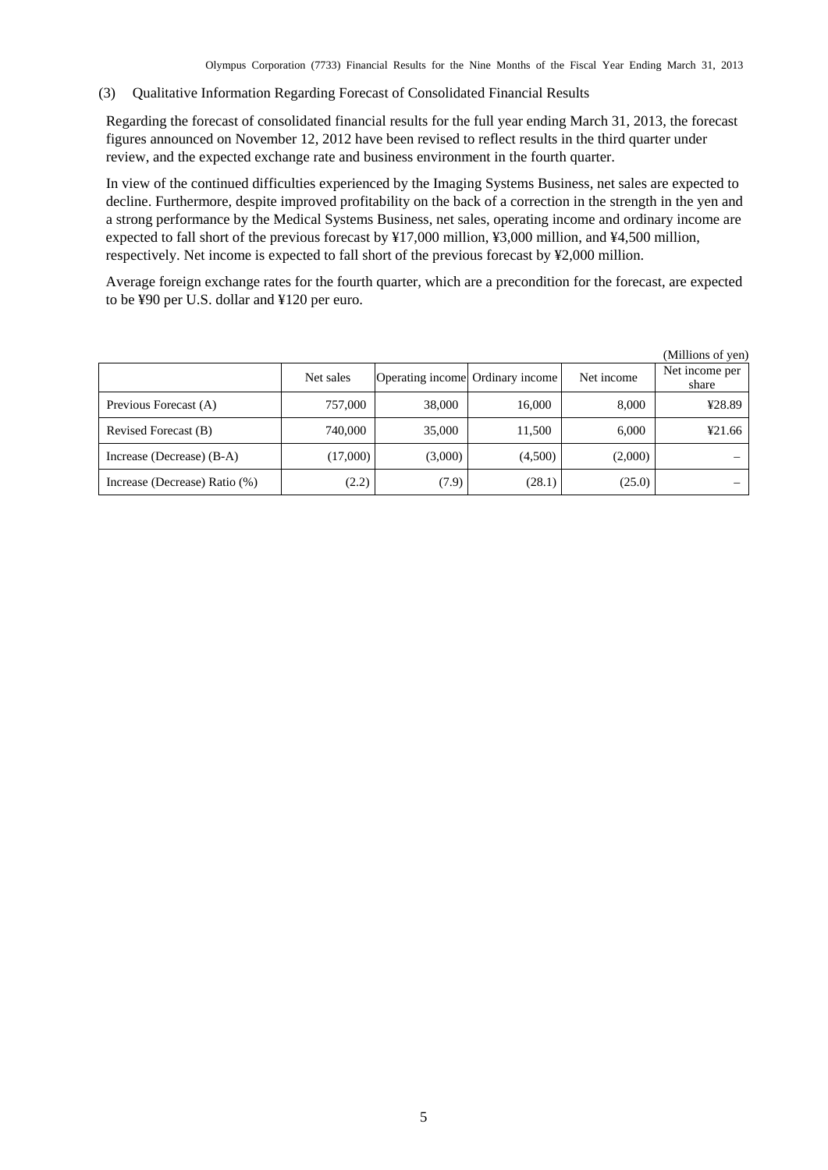#### <span id="page-6-0"></span>(3) Qualitative Information Regarding Forecast of Consolidated Financial Results

Regarding the forecast of consolidated financial results for the full year ending March 31, 2013, the forecast figures announced on November 12, 2012 have been revised to reflect results in the third quarter under review, and the expected exchange rate and business environment in the fourth quarter.

In view of the continued difficulties experienced by the Imaging Systems Business, net sales are expected to decline. Furthermore, despite improved profitability on the back of a correction in the strength in the yen and a strong performance by the Medical Systems Business, net sales, operating income and ordinary income are expected to fall short of the previous forecast by ¥17,000 million, ¥3,000 million, and ¥4,500 million, respectively. Net income is expected to fall short of the previous forecast by ¥2,000 million.

Average foreign exchange rates for the fourth quarter, which are a precondition for the forecast, are expected to be ¥90 per U.S. dollar and ¥120 per euro.

|                               |           |                                  |         |            | (Millions of yen)       |
|-------------------------------|-----------|----------------------------------|---------|------------|-------------------------|
|                               | Net sales | Operating income Ordinary income |         | Net income | Net income per<br>share |
| Previous Forecast (A)         | 757,000   | 38,000                           | 16,000  | 8,000      | ¥28.89                  |
| Revised Forecast (B)          | 740,000   | 35,000                           | 11,500  | 6.000      | 421.66                  |
| Increase (Decrease) (B-A)     | (17,000)  | (3,000)                          | (4,500) | (2,000)    |                         |
| Increase (Decrease) Ratio (%) | (2.2)     | (7.9)                            | (28.1)  | (25.0)     |                         |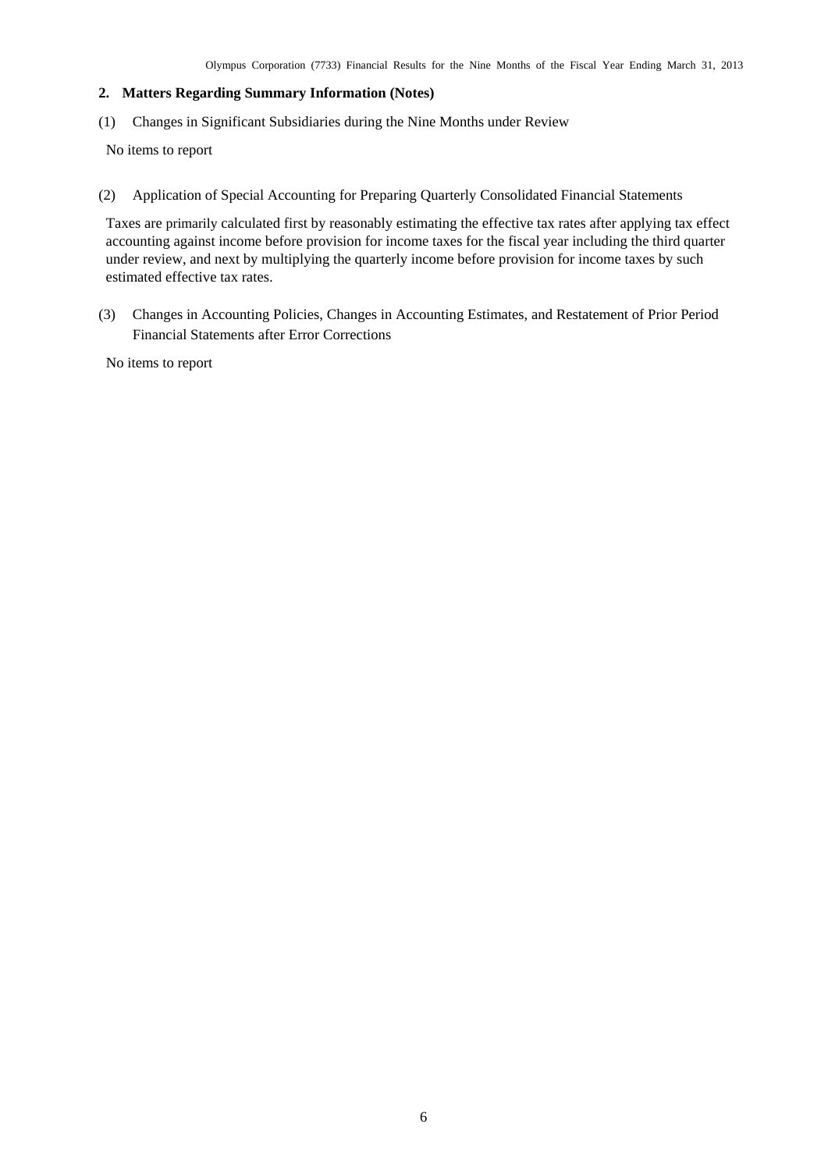## <span id="page-7-0"></span>**2. Matters Regarding Summary Information (Notes)**

<span id="page-7-1"></span>(1) Changes in Significant Subsidiaries during the Nine Months under Review

No items to report

<span id="page-7-2"></span>(2) Application of Special Accounting for Preparing Quarterly Consolidated Financial Statements

Taxes are primarily calculated first by reasonably estimating the effective tax rates after applying tax effect accounting against income before provision for income taxes for the fiscal year including the third quarter under review, and next by multiplying the quarterly income before provision for income taxes by such estimated effective tax rates.

<span id="page-7-3"></span>(3) Changes in Accounting Policies, Changes in Accounting Estimates, and Restatement of Prior Period Financial Statements after Error Corrections

No items to report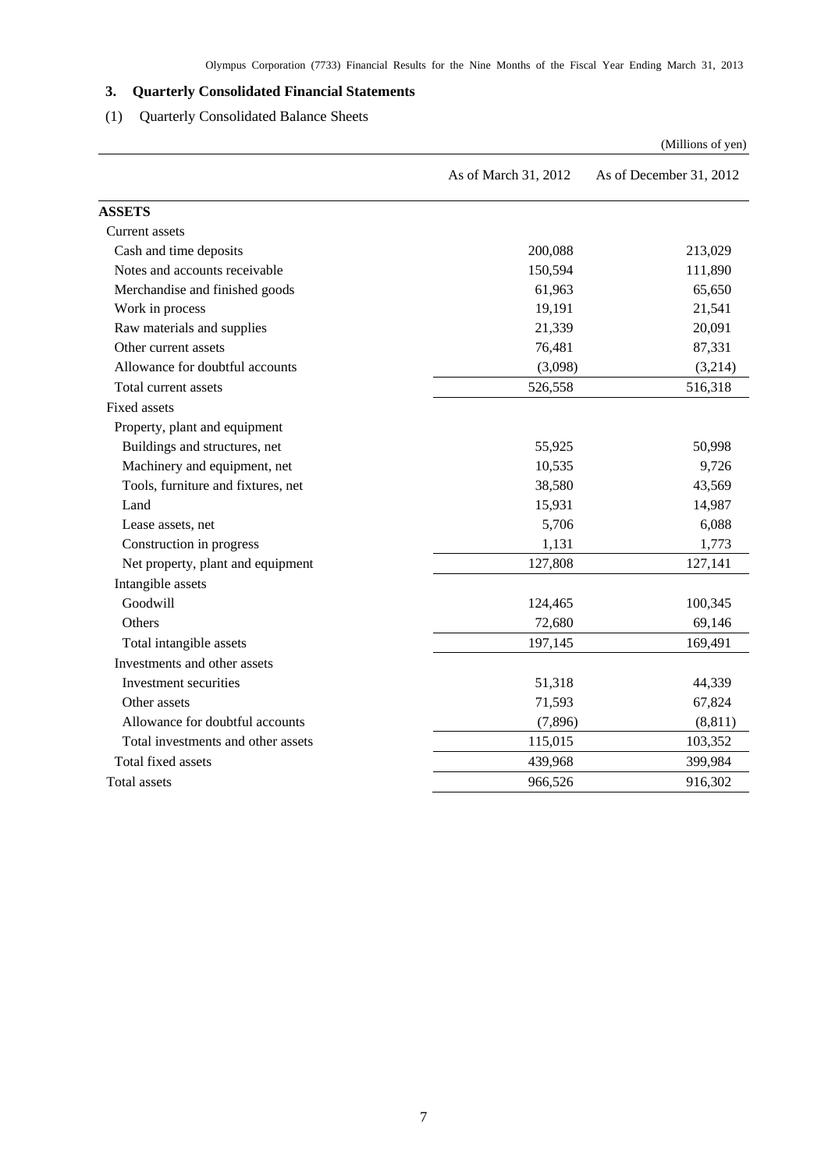# <span id="page-8-0"></span>**3. Quarterly Consolidated Financial Statements**

# (1) Quarterly Consolidated Balance Sheets

<span id="page-8-1"></span>

|                                    |                      | (Millions of yen)       |
|------------------------------------|----------------------|-------------------------|
|                                    | As of March 31, 2012 | As of December 31, 2012 |
| <b>ASSETS</b>                      |                      |                         |
| Current assets                     |                      |                         |
| Cash and time deposits             | 200,088              | 213,029                 |
| Notes and accounts receivable      | 150,594              | 111,890                 |
| Merchandise and finished goods     | 61,963               | 65,650                  |
| Work in process                    | 19,191               | 21,541                  |
| Raw materials and supplies         | 21,339               | 20,091                  |
| Other current assets               | 76,481               | 87,331                  |
| Allowance for doubtful accounts    | (3,098)              | (3,214)                 |
| Total current assets               | 526,558              | 516,318                 |
| <b>Fixed assets</b>                |                      |                         |
| Property, plant and equipment      |                      |                         |
| Buildings and structures, net      | 55,925               | 50,998                  |
| Machinery and equipment, net       | 10,535               | 9,726                   |
| Tools, furniture and fixtures, net | 38,580               | 43,569                  |
| Land                               | 15,931               | 14,987                  |
| Lease assets, net                  | 5,706                | 6,088                   |
| Construction in progress           | 1,131                | 1,773                   |
| Net property, plant and equipment  | 127,808              | 127,141                 |
| Intangible assets                  |                      |                         |
| Goodwill                           | 124,465              | 100,345                 |
| Others                             | 72,680               | 69,146                  |
| Total intangible assets            | 197,145              | 169,491                 |
| Investments and other assets       |                      |                         |
| Investment securities              | 51,318               | 44,339                  |
| Other assets                       | 71,593               | 67,824                  |
| Allowance for doubtful accounts    | (7, 896)             | (8, 811)                |
| Total investments and other assets | 115,015              | 103,352                 |
| Total fixed assets                 | 439,968              | 399,984                 |
| Total assets                       | 966,526              | 916,302                 |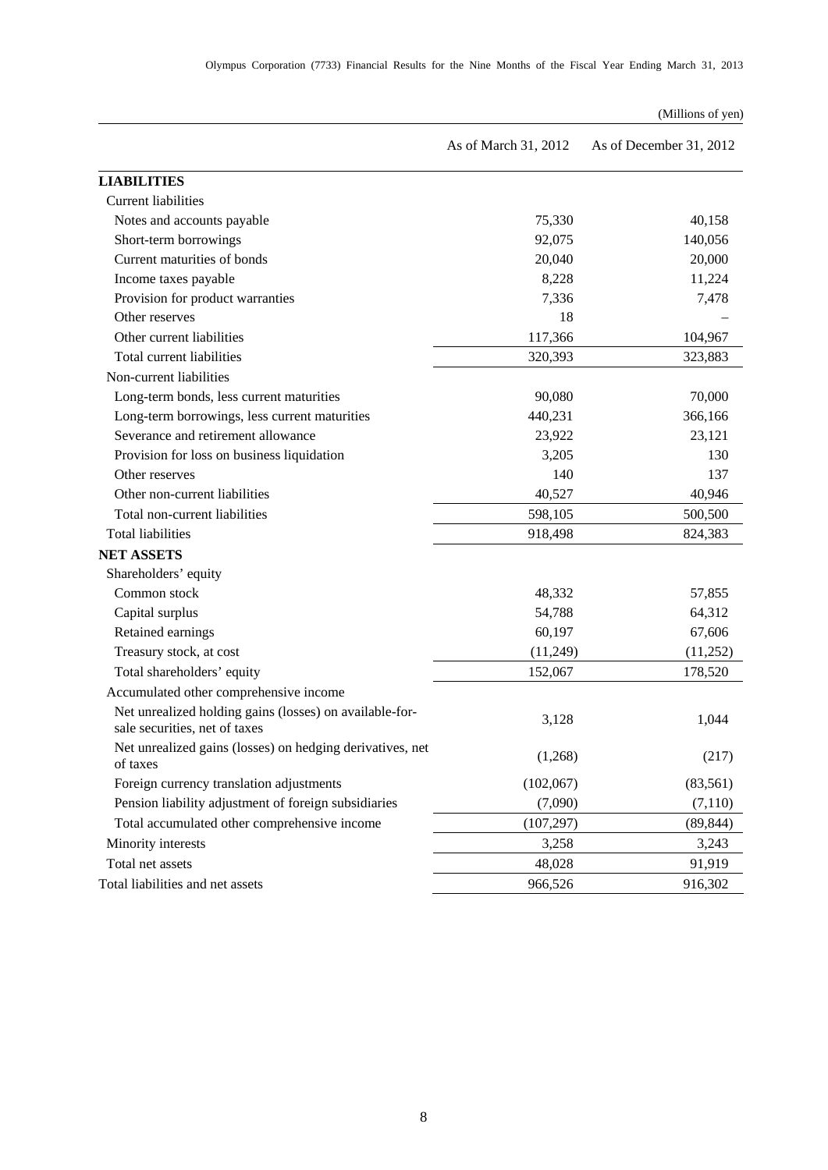|  | Olympus Corporation (7733) Financial Results for the Nine Months of the Fiscal Year Ending March 31, 2013 |  |  |  |  |  |  |  |  |  |  |  |  |  |  |  |  |
|--|-----------------------------------------------------------------------------------------------------------|--|--|--|--|--|--|--|--|--|--|--|--|--|--|--|--|
|--|-----------------------------------------------------------------------------------------------------------|--|--|--|--|--|--|--|--|--|--|--|--|--|--|--|--|

# (Millions of yen)

|                                                                                          | As of March 31, 2012 | As of December 31, 2012 |
|------------------------------------------------------------------------------------------|----------------------|-------------------------|
| <b>LIABILITIES</b>                                                                       |                      |                         |
| <b>Current liabilities</b>                                                               |                      |                         |
| Notes and accounts payable                                                               | 75,330               | 40,158                  |
| Short-term borrowings                                                                    | 92,075               | 140,056                 |
| Current maturities of bonds                                                              | 20,040               | 20,000                  |
| Income taxes payable                                                                     | 8,228                | 11,224                  |
| Provision for product warranties                                                         | 7,336                | 7,478                   |
| Other reserves                                                                           | 18                   |                         |
| Other current liabilities                                                                | 117,366              | 104,967                 |
| Total current liabilities                                                                | 320,393              | 323,883                 |
| Non-current liabilities                                                                  |                      |                         |
| Long-term bonds, less current maturities                                                 | 90,080               | 70,000                  |
| Long-term borrowings, less current maturities                                            | 440,231              | 366,166                 |
| Severance and retirement allowance                                                       | 23,922               | 23,121                  |
| Provision for loss on business liquidation                                               | 3,205                | 130                     |
| Other reserves                                                                           | 140                  | 137                     |
| Other non-current liabilities                                                            | 40,527               | 40,946                  |
| Total non-current liabilities                                                            | 598,105              | 500,500                 |
| <b>Total liabilities</b>                                                                 | 918,498              | 824,383                 |
| <b>NET ASSETS</b>                                                                        |                      |                         |
| Shareholders' equity                                                                     |                      |                         |
| Common stock                                                                             | 48,332               | 57,855                  |
| Capital surplus                                                                          | 54,788               | 64,312                  |
| Retained earnings                                                                        | 60,197               | 67,606                  |
| Treasury stock, at cost                                                                  | (11,249)             | (11,252)                |
| Total shareholders' equity                                                               | 152,067              | 178,520                 |
| Accumulated other comprehensive income                                                   |                      |                         |
| Net unrealized holding gains (losses) on available-for-<br>sale securities, net of taxes | 3,128                | 1,044                   |
| Net unrealized gains (losses) on hedging derivatives, net<br>of taxes                    | (1,268)              | (217)                   |
| Foreign currency translation adjustments                                                 | (102,067)            | (83, 561)               |
| Pension liability adjustment of foreign subsidiaries                                     | (7,090)              | (7, 110)                |
| Total accumulated other comprehensive income                                             | (107, 297)           | (89, 844)               |
| Minority interests                                                                       | 3,258                | 3,243                   |
| Total net assets                                                                         | 48,028               | 91,919                  |
| Total liabilities and net assets                                                         | 966,526              | 916,302                 |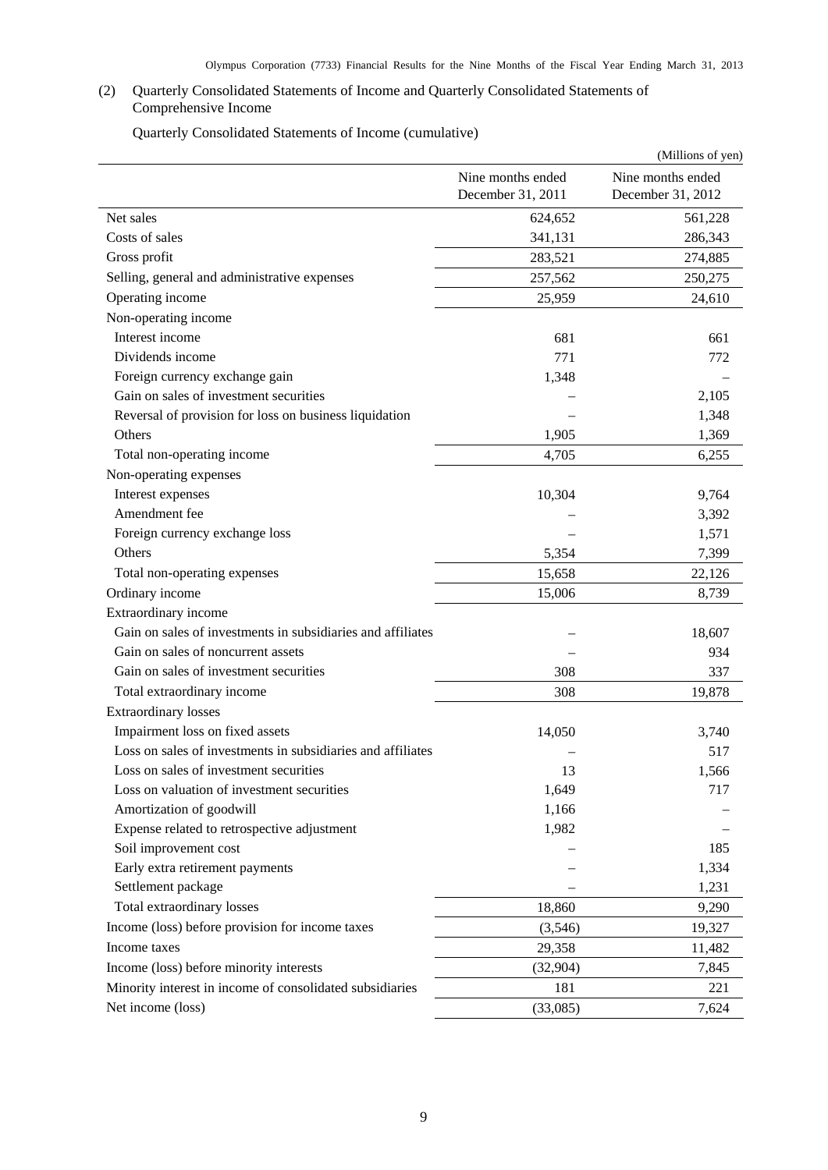# <span id="page-10-0"></span>(2) Quarterly Consolidated Statements of Income and Quarterly Consolidated Statements of Comprehensive Income

Quarterly Consolidated Statements of Income (cumulative)

<span id="page-10-1"></span>

|                                                             |                                        | (Millions of yen)                      |
|-------------------------------------------------------------|----------------------------------------|----------------------------------------|
|                                                             | Nine months ended<br>December 31, 2011 | Nine months ended<br>December 31, 2012 |
| Net sales                                                   | 624,652                                | 561,228                                |
| Costs of sales                                              | 341,131                                | 286,343                                |
| Gross profit                                                | 283,521                                | 274,885                                |
| Selling, general and administrative expenses                | 257,562                                | 250,275                                |
| Operating income                                            | 25,959                                 | 24,610                                 |
| Non-operating income                                        |                                        |                                        |
| Interest income                                             | 681                                    | 661                                    |
| Dividends income                                            | 771                                    | 772                                    |
| Foreign currency exchange gain                              | 1,348                                  |                                        |
| Gain on sales of investment securities                      |                                        | 2,105                                  |
| Reversal of provision for loss on business liquidation      |                                        | 1,348                                  |
| Others                                                      | 1,905                                  | 1,369                                  |
| Total non-operating income                                  | 4,705                                  | 6,255                                  |
| Non-operating expenses                                      |                                        |                                        |
| Interest expenses                                           | 10,304                                 | 9,764                                  |
| Amendment fee                                               |                                        | 3,392                                  |
| Foreign currency exchange loss                              |                                        | 1,571                                  |
| Others                                                      | 5,354                                  | 7,399                                  |
| Total non-operating expenses                                | 15,658                                 | 22,126                                 |
| Ordinary income                                             | 15,006                                 | 8,739                                  |
| Extraordinary income                                        |                                        |                                        |
| Gain on sales of investments in subsidiaries and affiliates |                                        | 18,607                                 |
| Gain on sales of noncurrent assets                          |                                        | 934                                    |
| Gain on sales of investment securities                      | 308                                    | 337                                    |
| Total extraordinary income                                  | 308                                    | 19,878                                 |
| <b>Extraordinary losses</b>                                 |                                        |                                        |
| Impairment loss on fixed assets                             | 14,050                                 | 3,740                                  |
| Loss on sales of investments in subsidiaries and affiliates |                                        | 517                                    |
| Loss on sales of investment securities                      | 13                                     | 1,566                                  |
| Loss on valuation of investment securities                  | 1,649                                  | 717                                    |
| Amortization of goodwill                                    | 1,166                                  |                                        |
| Expense related to retrospective adjustment                 | 1,982                                  |                                        |
| Soil improvement cost                                       |                                        | 185                                    |
| Early extra retirement payments                             |                                        | 1,334                                  |
| Settlement package                                          |                                        | 1,231                                  |
| Total extraordinary losses                                  | 18,860                                 | 9,290                                  |
| Income (loss) before provision for income taxes             | (3,546)                                | 19,327                                 |
| Income taxes                                                | 29,358                                 | 11,482                                 |
| Income (loss) before minority interests                     | (32, 904)                              | 7,845                                  |
| Minority interest in income of consolidated subsidiaries    | 181                                    | 221                                    |
| Net income (loss)                                           | (33,085)                               | 7,624                                  |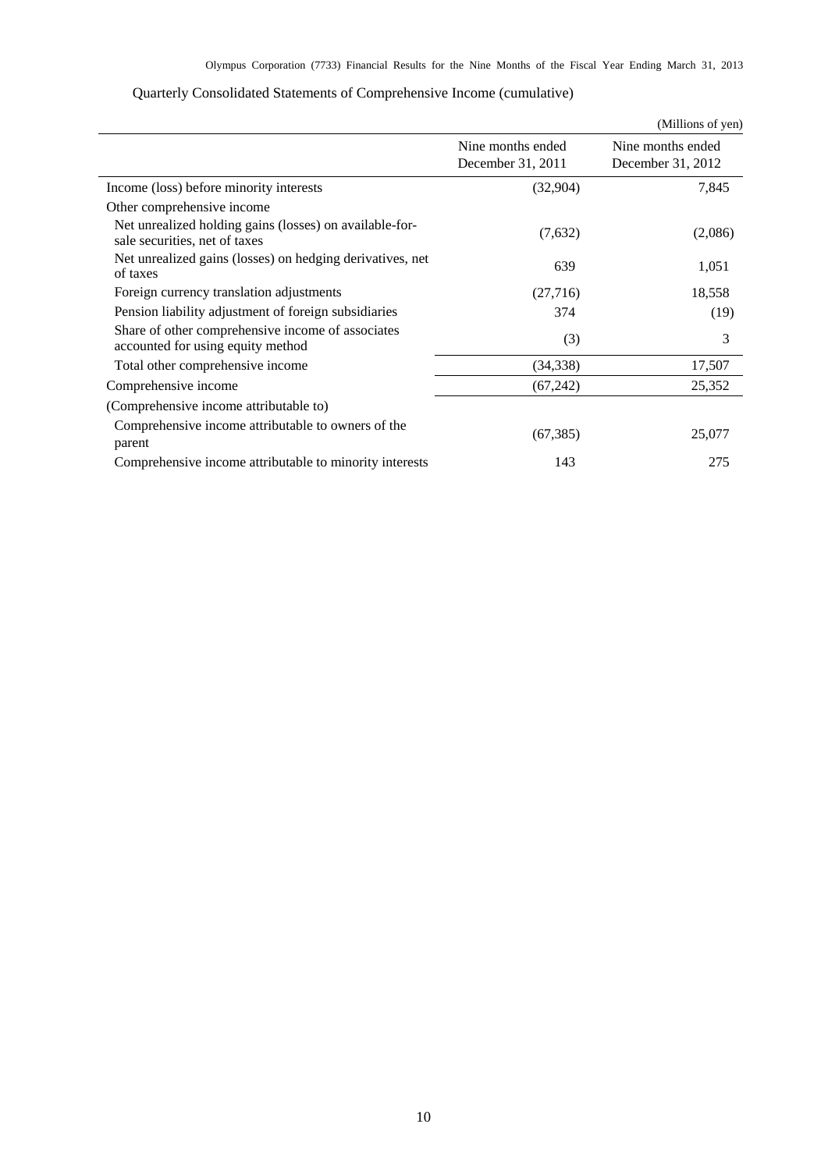<span id="page-11-0"></span>

|                                                                                          |                                        | (Millions of yen)                      |
|------------------------------------------------------------------------------------------|----------------------------------------|----------------------------------------|
|                                                                                          | Nine months ended<br>December 31, 2011 | Nine months ended<br>December 31, 2012 |
| Income (loss) before minority interests                                                  | (32,904)                               | 7,845                                  |
| Other comprehensive income                                                               |                                        |                                        |
| Net unrealized holding gains (losses) on available-for-<br>sale securities, net of taxes | (7,632)                                | (2,086)                                |
| Net unrealized gains (losses) on hedging derivatives, net<br>of taxes                    | 639                                    | 1,051                                  |
| Foreign currency translation adjustments                                                 | (27,716)                               | 18,558                                 |
| Pension liability adjustment of foreign subsidiaries                                     | 374                                    | (19)                                   |
| Share of other comprehensive income of associates<br>accounted for using equity method   | (3)                                    | 3                                      |
| Total other comprehensive income                                                         | (34, 338)                              | 17,507                                 |
| Comprehensive income                                                                     | (67,242)                               | 25,352                                 |
| (Comprehensive income attributable to)                                                   |                                        |                                        |
| Comprehensive income attributable to owners of the<br>parent                             | (67, 385)                              | 25,077                                 |
| Comprehensive income attributable to minority interests                                  | 143                                    | 275                                    |

# Quarterly Consolidated Statements of Comprehensive Income (cumulative)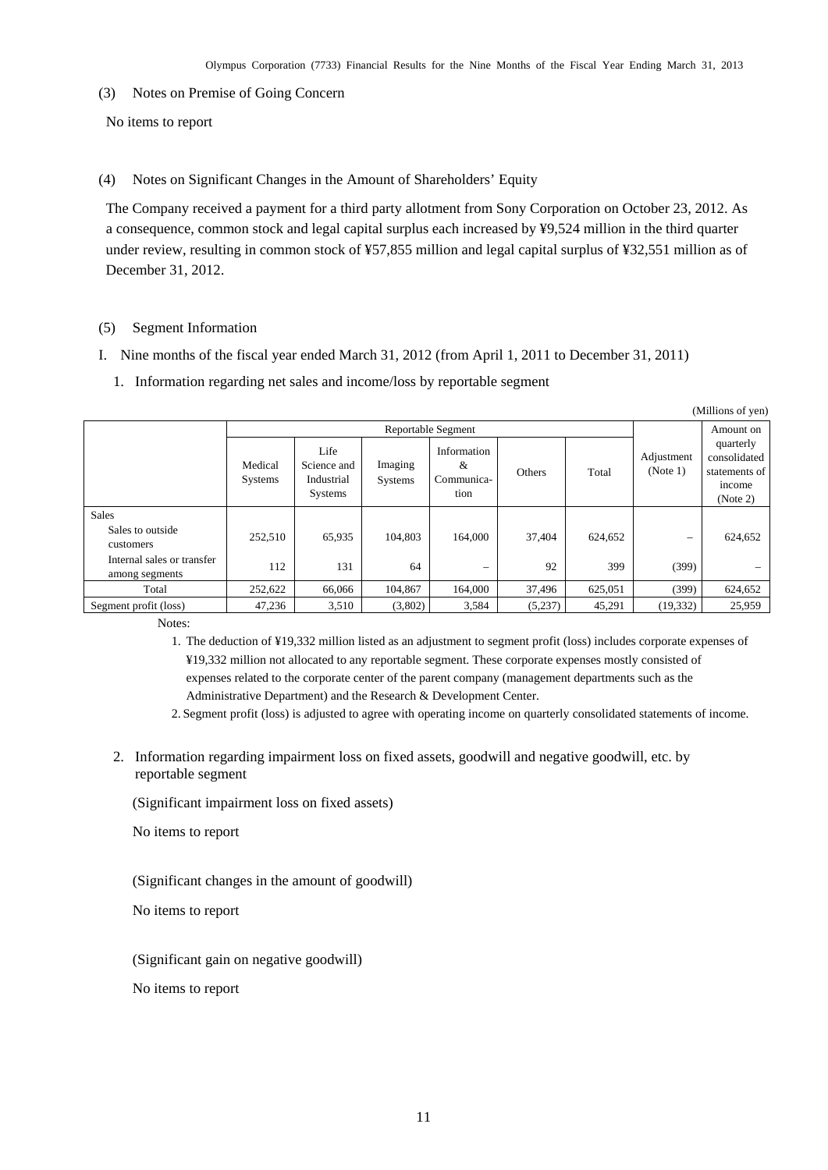<span id="page-12-0"></span>(3) Notes on Premise of Going Concern

No items to report

<span id="page-12-1"></span>(4) Notes on Significant Changes in the Amount of Shareholders' Equity

The Company received a payment for a third party allotment from Sony Corporation on October 23, 2012. As a consequence, common stock and legal capital surplus each increased by ¥9,524 million in the third quarter under review, resulting in common stock of ¥57,855 million and legal capital surplus of ¥32,551 million as of December 31, 2012.

### <span id="page-12-2"></span>(5) Segment Information

- I. Nine months of the fiscal year ended March 31, 2012 (from April 1, 2011 to December 31, 2011)
	- 1. Information regarding net sales and income/loss by reportable segment

| (Millions of yen)                            |                           |                                              |                    |                                        |         |                                 |           |                                                                  |  |  |
|----------------------------------------------|---------------------------|----------------------------------------------|--------------------|----------------------------------------|---------|---------------------------------|-----------|------------------------------------------------------------------|--|--|
|                                              | Reportable Segment        |                                              |                    |                                        |         |                                 |           |                                                                  |  |  |
|                                              | Medical<br><b>Systems</b> | Life<br>Science and<br>Industrial<br>Systems | Imaging<br>Systems | Information<br>&<br>Communica-<br>tion | Others  | Adjustment<br>(Note 1)<br>Total |           | quarterly<br>consolidated<br>statements of<br>income<br>(Note 2) |  |  |
| <b>Sales</b>                                 |                           |                                              |                    |                                        |         |                                 |           |                                                                  |  |  |
| Sales to outside<br>customers                | 252,510                   | 65,935                                       | 104.803            | 164,000                                | 37.404  | 624,652                         |           | 624,652                                                          |  |  |
| Internal sales or transfer<br>among segments | 112                       | 131                                          | 64                 | -                                      | 92      | 399                             | (399)     |                                                                  |  |  |
| Total                                        | 252,622                   | 66,066                                       | 104,867            | 164,000                                | 37,496  | 625,051                         | (399)     | 624,652                                                          |  |  |
| Segment profit (loss)                        | 47,236                    | 3,510                                        | (3,802)            | 3,584                                  | (5,237) | 45,291                          | (19, 332) | 25,959                                                           |  |  |

Notes:

1. The deduction of ¥19,332 million listed as an adjustment to segment profit (loss) includes corporate expenses of ¥19,332 million not allocated to any reportable segment. These corporate expenses mostly consisted of expenses related to the corporate center of the parent company (management departments such as the Administrative Department) and the Research & Development Center.

2. Segment profit (loss) is adjusted to agree with operating income on quarterly consolidated statements of income.

2. Information regarding impairment loss on fixed assets, goodwill and negative goodwill, etc. by reportable segment

(Significant impairment loss on fixed assets)

No items to report

(Significant changes in the amount of goodwill)

No items to report

(Significant gain on negative goodwill)

No items to report